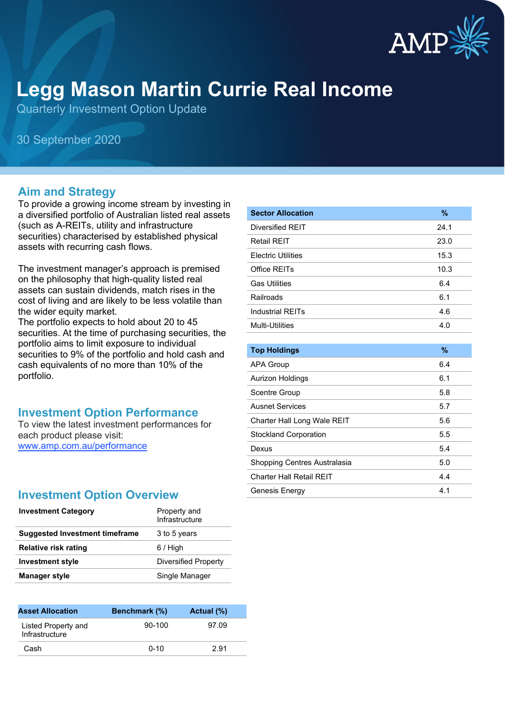

# **Legg Mason Martin Currie Real Income**

Quarterly Investment Option Update

30 September 2020

#### **Aim and Strategy**

To provide a growing income stream by investing in a diversified portfolio of Australian listed real assets (such as A-REITs, utility and infrastructure securities) characterised by established physical assets with recurring cash flows.

The investment manager's approach is premised on the philosophy that high-quality listed real assets can sustain dividends, match rises in the cost of living and are likely to be less volatile than the wider equity market.

The portfolio expects to hold about 20 to 45 securities. At the time of purchasing securities, the portfolio aims to limit exposure to individual securities to 9% of the portfolio and hold cash and cash equivalents of no more than 10% of the portfolio.

### **Investment Option Performance**

To view the latest investment performances for each product please visit: [www.amp.com.au/performance](https://www.amp.com.au/performance)

### **Investment Option Overview**

| Property and<br>Infrastructure |
|--------------------------------|
| 3 to 5 years                   |
| $6/$ High                      |
| Diversified Property           |
| Single Manager                 |
|                                |

| <b>Asset Allocation</b>               | Benchmark (%) | Actual (%) |  |
|---------------------------------------|---------------|------------|--|
| Listed Property and<br>Infrastructure | $90-100$      | 97.09      |  |
| Cash                                  | $0 - 10$      | 2.91       |  |

| <b>Sector Allocation</b>    | %    |
|-----------------------------|------|
| Diversified REIT            | 24.1 |
| <b>Retail REIT</b>          | 23.0 |
| <b>Electric Utilities</b>   | 15.3 |
| Office REITs                | 10.3 |
| <b>Gas Utilities</b>        | 6.4  |
| Railroads                   | 6.1  |
| <b>Industrial REITs</b>     | 4.6  |
| <b>Multi-Utilities</b>      | 4.0  |
|                             |      |
| <b>Top Holdings</b>         | %    |
| <b>APA Group</b>            | 6.4  |
| Aurizon Holdings            | 6.1  |
| Scentre Group               | 5.8  |
| <b>Ausnet Services</b>      | 5.7  |
| Charter Hall Long Wale REIT | 5.6  |

Stockland Corporation 6.5 Dexus 5.4 Shopping Centres Australasia **5.0** Charter Hall Retail REIT 4.4 Genesis Energy 4.1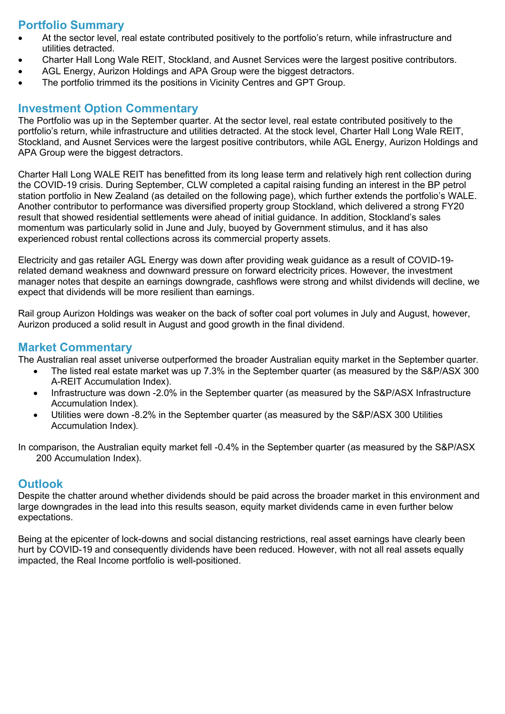## **Portfolio Summary**

- At the sector level, real estate contributed positively to the portfolio's return, while infrastructure and utilities detracted.
- Charter Hall Long Wale REIT, Stockland, and Ausnet Services were the largest positive contributors.
- AGL Energy, Aurizon Holdings and APA Group were the biggest detractors.
- The portfolio trimmed its the positions in Vicinity Centres and GPT Group.

#### **Investment Option Commentary**

The Portfolio was up in the September quarter. At the sector level, real estate contributed positively to the portfolio's return, while infrastructure and utilities detracted. At the stock level, Charter Hall Long Wale REIT, Stockland, and Ausnet Services were the largest positive contributors, while AGL Energy, Aurizon Holdings and APA Group were the biggest detractors.

Charter Hall Long WALE REIT has benefitted from its long lease term and relatively high rent collection during the COVID-19 crisis. During September, CLW completed a capital raising funding an interest in the BP petrol station portfolio in New Zealand (as detailed on the following page), which further extends the portfolio's WALE. Another contributor to performance was diversified property group Stockland, which delivered a strong FY20 result that showed residential settlements were ahead of initial guidance. In addition, Stockland's sales momentum was particularly solid in June and July, buoyed by Government stimulus, and it has also experienced robust rental collections across its commercial property assets.

Electricity and gas retailer AGL Energy was down after providing weak guidance as a result of COVID-19 related demand weakness and downward pressure on forward electricity prices. However, the investment manager notes that despite an earnings downgrade, cashflows were strong and whilst dividends will decline, we expect that dividends will be more resilient than earnings.

Rail group Aurizon Holdings was weaker on the back of softer coal port volumes in July and August, however, Aurizon produced a solid result in August and good growth in the final dividend.

#### **Market Commentary**

The Australian real asset universe outperformed the broader Australian equity market in the September quarter.

- The listed real estate market was up 7.3% in the September quarter (as measured by the S&P/ASX 300 A-REIT Accumulation Index).
- Infrastructure was down -2.0% in the September quarter (as measured by the S&P/ASX Infrastructure Accumulation Index).
- Utilities were down -8.2% in the September quarter (as measured by the S&P/ASX 300 Utilities Accumulation Index).

In comparison, the Australian equity market fell -0.4% in the September quarter (as measured by the S&P/ASX 200 Accumulation Index).

#### **Outlook**

Despite the chatter around whether dividends should be paid across the broader market in this environment and large downgrades in the lead into this results season, equity market dividends came in even further below expectations.

Being at the epicenter of lock-downs and social distancing restrictions, real asset earnings have clearly been hurt by COVID-19 and consequently dividends have been reduced. However, with not all real assets equally impacted, the Real Income portfolio is well-positioned.